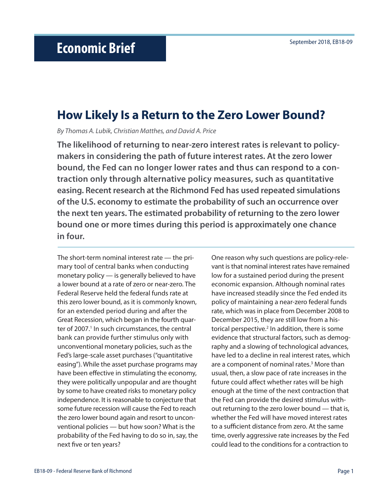## **How Likely Is a Return to the Zero Lower Bound?**

*By Thomas A. Lubik, Christian Matthes, and David A. Price*

**The likelihood of returning to near-zero interest rates is relevant to policymakers in considering the path of future interest rates. At the zero lower bound, the Fed can no longer lower rates and thus can respond to a contraction only through alternative policy measures, such as quantitative easing. Recent research at the Richmond Fed has used repeated simulations of the U.S. economy to estimate the probability of such an occurrence over the next ten years. The estimated probability of returning to the zero lower bound one or more times during this period is approximately one chance in four.** 

The short-term nominal interest rate — the primary tool of central banks when conducting monetary policy — is generally believed to have a lower bound at a rate of zero or near-zero. The Federal Reserve held the federal funds rate at this zero lower bound, as it is commonly known, for an extended period during and after the Great Recession, which began in the fourth quarter of 2007.<sup>1</sup> In such circumstances, the central bank can provide further stimulus only with unconventional monetary policies, such as the Fed's large-scale asset purchases ("quantitative easing"). While the asset purchase programs may have been effective in stimulating the economy, they were politically unpopular and are thought by some to have created risks to monetary policy independence. It is reasonable to conjecture that some future recession will cause the Fed to reach the zero lower bound again and resort to unconventional policies — but how soon? What is the probability of the Fed having to do so in, say, the next five or ten years?

One reason why such questions are policy-relevant is that nominal interest rates have remained low for a sustained period during the present economic expansion. Although nominal rates have increased steadily since the Fed ended its policy of maintaining a near-zero federal funds rate, which was in place from December 2008 to December 2015, they are still low from a historical perspective.<sup>2</sup> In addition, there is some evidence that structural factors, such as demography and a slowing of technological advances, have led to a decline in real interest rates, which are a component of nominal rates.<sup>3</sup> More than usual, then, a slow pace of rate increases in the future could affect whether rates will be high enough at the time of the next contraction that the Fed can provide the desired stimulus without returning to the zero lower bound — that is, whether the Fed will have moved interest rates to a sufficient distance from zero. At the same time, overly aggressive rate increases by the Fed could lead to the conditions for a contraction to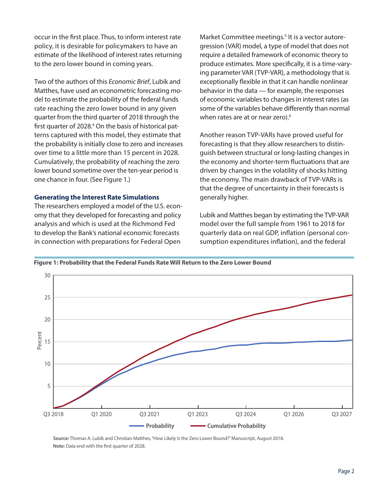occur in the first place. Thus, to inform interest rate policy, it is desirable for policymakers to have an estimate of the likelihood of interest rates returning to the zero lower bound in coming years.

Two of the authors of this *Economic Brief*, Lubik and Matthes, have used an econometric forecasting model to estimate the probability of the federal funds rate reaching the zero lower bound in any given quarter from the third quarter of 2018 through the first quarter of 2028.<sup>4</sup> On the basis of historical patterns captured with this model, they estimate that the probability is initially close to zero and increases over time to a little more than 15 percent in 2028. Cumulatively, the probability of reaching the zero lower bound sometime over the ten-year period is one chance in four. (See Figure 1.)

## **Generating the Interest Rate Simulations**

The researchers employed a model of the U.S. economy that they developed for forecasting and policy analysis and which is used at the Richmond Fed to develop the Bank's national economic forecasts in connection with preparations for Federal Open

Market Committee meetings.<sup>5</sup> It is a vector autoregression (VAR) model, a type of model that does not require a detailed framework of economic theory to produce estimates. More specifically, it is a time-varying parameter VAR (TVP-VAR), a methodology that is exceptionally flexible in that it can handle nonlinear behavior in the data — for example, the responses of economic variables to changes in interest rates (as some of the variables behave differently than normal when rates are at or near zero).<sup>6</sup>

Another reason TVP-VARs have proved useful for forecasting is that they allow researchers to distinguish between structural or long-lasting changes in the economy and shorter-term fluctuations that are driven by changes in the volatility of shocks hitting the economy. The main drawback of TVP-VARs is that the degree of uncertainty in their forecasts is generally higher.

Lubik and Matthes began by estimating the TVP-VAR model over the full sample from 1961 to 2018 for quarterly data on real GDP, inflation (personal consumption expenditures inflation), and the federal

**Figure 1: Probability that the Federal Funds Rate Will Return to the Zero Lower Bound** Figure 1: Probability that the Federal Funds Rate Will Return to the Zero



**Source:** Thomas A. Lubik and Christian Matthes, "How Likely Is the Zero Lower Bound?" Manuscript, August 2018. **Note:** Data end with the first quarter of 2028.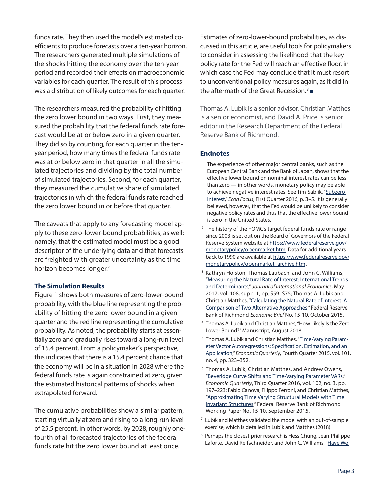funds rate. They then used the model's estimated coefficients to produce forecasts over a ten-year horizon. The researchers generated multiple simulations of the shocks hitting the economy over the ten-year period and recorded their effects on macroeconomic variables for each quarter. The result of this process was a distribution of likely outcomes for each quarter.

The researchers measured the probability of hitting the zero lower bound in two ways. First, they measured the probability that the federal funds rate forecast would be at or below zero in a given quarter. They did so by counting, for each quarter in the tenyear period, how many times the federal funds rate was at or below zero in that quarter in all the simulated trajectories and dividing by the total number of simulated trajectories. Second, for each quarter, they measured the cumulative share of simulated trajectories in which the federal funds rate reached the zero lower bound in or before that quarter.

The caveats that apply to any forecasting model apply to these zero-lower-bound probabilities, as well: namely, that the estimated model must be a good descriptor of the underlying data and that forecasts are freighted with greater uncertainty as the time horizon becomes longer.7

## **The Simulation Results**

Figure 1 shows both measures of zero-lower-bound probability, with the blue line representing the probability of hitting the zero lower bound in a given quarter and the red line representing the cumulative probability. As noted, the probability starts at essentially zero and gradually rises toward a long-run level of 15.4 percent. From a policymaker's perspective, this indicates that there is a 15.4 percent chance that the economy will be in a situation in 2028 where the federal funds rate is again constrained at zero, given the estimated historical patterns of shocks when extrapolated forward.

The cumulative probabilities show a similar pattern, starting virtually at zero and rising to a long-run level of 25.5 percent. In other words, by 2028, roughly onefourth of all forecasted trajectories of the federal funds rate hit the zero lower bound at least once.

Estimates of zero-lower-bound probabilities, as discussed in this article, are useful tools for policymakers to consider in assessing the likelihood that the key policy rate for the Fed will reach an effective floor, in which case the Fed may conclude that it must resort to unconventional policy measures again, as it did in the aftermath of the Great Recession. $8\blacksquare$ 

Thomas A. Lubik is a senior advisor, Christian Matthes is a senior economist, and David A. Price is senior editor in the Research Department of the Federal Reserve Bank of Richmond.

## **Endnotes**

- <sup>1</sup> The experience of other major central banks, such as the European Central Bank and the Bank of Japan, shows that the effective lower bound on nominal interest rates can be less than zero — in other words, monetary policy may be able to achieve negative interest rates. See Tim Sablik, "Subzero [Interest](https://www.richmondfed.org/publications/research/econ_focus/2016/q1/federal_reserve)," *Econ Focus*, First Quarter 2016, p. 3–5. It is generally believed, however, that the Fed would be unlikely to consider negative policy rates and thus that the effective lower bound is zero in the United States.
- The history of the FOMC's target federal funds rate or range since 2003 is set out on the Board of Governors of the Federal Reserve System website at [https://www.federalreserve.gov/](https://www.federalreserve.gov/monetarypolicy/openmarket.htm) [monetarypolicy/openmarket.htm.](https://www.federalreserve.gov/monetarypolicy/openmarket.htm) Data for additional years back to 1990 are available at [https://www.federalreserve.gov/](https://www.federalreserve.gov/monetarypolicy/openmarket_archive.htm) [monetarypolicy/openmarket\\_archive.htm](https://www.federalreserve.gov/monetarypolicy/openmarket_archive.htm).
- <sup>3</sup> Kathryn Holston, Thomas Laubach, and John C. Williams, "[Measuring the Natural Rate of Interest: International Trends](http://dx.doi.org/10.1016/j.jinteco.2017.01.004)  [and Determinants](http://dx.doi.org/10.1016/j.jinteco.2017.01.004)," *Journal of International Economics*, May 2017, vol. 108, supp. 1, pp. S59–S75; Thomas A. Lubik and Christian Matthes, "[Calculating the Natural Rate of Interest: A](https://www.richmondfed.org/publications/research/economic_brief/2015/eb_15-10)  [Comparison of Two Alternative Approaches,](https://www.richmondfed.org/publications/research/economic_brief/2015/eb_15-10)" Federal Reserve Bank of Richmond *Economic Brief* No. 15-10, October 2015.
- 4 Thomas A. Lubik and Christian Matthes, "How Likely Is the Zero Lower Bound?" Manuscript, August 2018.
- <sup>5</sup> Thomas A. Lubik and Christian Matthes, "[Time-Varying Param](https://www.richmondfed.org/publications/research/economic_quarterly/2015/q4/lubik)eter Vector Autoregressions: Specification, Estimation, and an [Application](https://www.richmondfed.org/publications/research/economic_quarterly/2015/q4/lubik)," *Economic Quarterly*, Fourth Quarter 2015, vol. 101, no. 4, pp. 323–352.
- 6 Thomas A. Lubik, Christian Matthes, and Andrew Owens, "[Beveridge Curve Shifts and Time-Varying Parameter VARs,](https://www.richmondfed.org/publications/research/economic_quarterly/2016/q3/matthes)" *Economic Quarterly*, Third Quarter 2016, vol. 102, no. 3, pp. 197–223; Fabio Canova, Filippo Ferroni, and Christian Matthes, ["Approximating Time Varying Structural Models with Time](https://www.richmondfed.org/publications/research/working_papers/2015/wp_15-10)  [Invariant Structures,](https://www.richmondfed.org/publications/research/working_papers/2015/wp_15-10)" Federal Reserve Bank of Richmond Working Paper No. 15-10, September 2015.
- 7 Lubik and Matthes validated the model with an out-of-sample exercise, which is detailed in Lubik and Matthes (2018).
- <sup>8</sup> Perhaps the closest prior research is Hess Chung, Jean-Philippe Laforte, David Reifschneider, and John C. Williams, "Have We